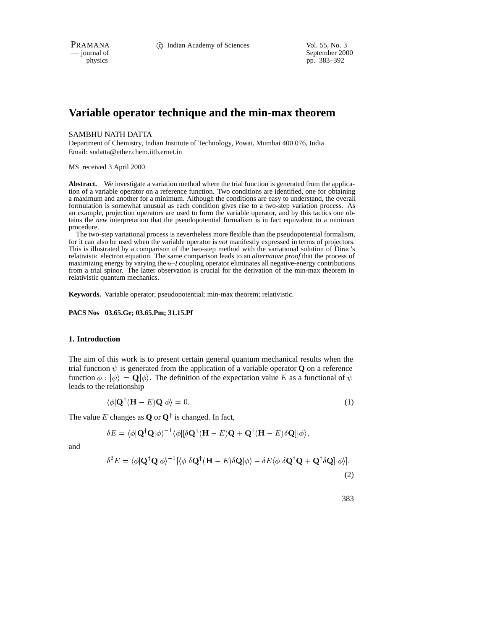physics<br>
a general of September 2000<br>
pp. 383–392<br>
pp. 383–392 pp. 383–392

# **Variable operator technique and the min-max theorem**

#### SAMBHU NATH DATTA

Department of Chemistry, Indian Institute of Technology, Powai, Mumbai 400 076, India Email: sndatta@ether.chem.iitb.ernet.in

MS received 3 April 2000

**Abstract.** We investigate a variation method where the trial function is generated from the application of a variable operator on a reference function. Two conditions are identified, one for obtaining a maximum and another for a minimum. Although the conditions are easy to understand, the overall formulation is somewhat unusual as each condition gives rise to a two-step variation process. As an example, projection operators are used to form the variable operator, and by this tactics one obtains the *new* interpretation that the pseudopotential formalism is in fact equivalent to a minimax procedure.

The two-step variational process is nevertheless more flexible than the pseudopotential formalism, for it can also be used when the variable operator is *not* manifestly expressed in terms of projectors. This is illustrated by a comparison of the two-step method with the variational solution of Dirac's relativistic electron equation. The same comparison leads to an *alternative proof* that the process of maximizing energy by varying the  $u-l$  coupling operator eliminates all negative-energy contributions from a trial spinor. The latter observation is crucial for the derivation of the min-max theorem in relativistic quantum mechanics.

**Keywords.** Variable operator; pseudopotential; min-max theorem; relativistic.

**PACS Nos 03.65.Ge; 03.65.Pm; 31.15.Pf**

#### **1. Introduction**

The aim of this work is to present certain general quantum mechanical results when the trial function  $\psi$  is generated from the application of a variable operator **Q** on a reference function  $\phi : |\psi\rangle = \mathbf{Q}|\phi\rangle$ . The definition of the expectation value E as a functional of  $\psi$ leads to the relationship

$$
\langle \phi | \mathbf{Q}^{\dagger} (\mathbf{H} - E) \mathbf{Q} | \phi \rangle = 0. \tag{1}
$$

The value E changes as **Q** or  $\mathbf{Q}^{\dagger}$  is changed. In fact,

$$
\delta E = \langle \phi | \mathbf{Q}^{\dagger} \mathbf{Q} | \phi \rangle^{-1} \langle \phi | [\delta \mathbf{Q}^{\dagger} (\mathbf{H} - E) \mathbf{Q} + \mathbf{Q}^{\dagger} (\mathbf{H} - E) \delta \mathbf{Q}] | \phi \rangle,
$$

and

$$
\delta^2 E = \langle \phi | \mathbf{Q}^\dagger \mathbf{Q} | \phi \rangle^{-1} [\langle \phi | \delta \mathbf{Q}^\dagger (\mathbf{H} - E) \delta \mathbf{Q} | \phi \rangle - \delta E \langle \phi | \delta \mathbf{Q}^\dagger \mathbf{Q} + \mathbf{Q}^\dagger \delta \mathbf{Q} ] | \phi \rangle].
$$
\n(2)

383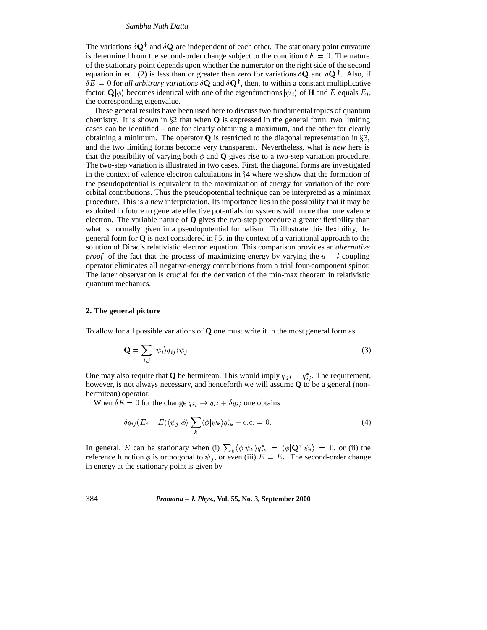The variations  $\delta \mathbf{Q}^{\dagger}$  and  $\delta \mathbf{Q}$  are independent of each other. The stationary point curvature is determined from the second-order change subject to the condition  $\delta E = 0$ . The nature of the stationary point depends upon whether the numerator on the right side of the second equation in eq. (2) is less than or greater than zero for variations  $\delta \mathbf{Q}$  and  $\delta \mathbf{Q}^{\dagger}$ . Also, if  $\delta E = 0$  for *all arbitrary variations*  $\delta \mathbf{Q}$  and  $\delta \mathbf{Q}^{\dagger}$ , then, to within a constant multiplicative factor,  $\mathbf{Q}|\phi\rangle$  becomes identical with one of the eigenfunctions  $|\psi_i\rangle$  of **H** and E equals  $E_i$ , the corresponding eigenvalue.

These general results have been used here to discuss two fundamental topics of quantum chemistry. It is shown in  $\S2$  that when **Q** is expressed in the general form, two limiting cases can be identified – one for clearly obtaining a maximum, and the other for clearly obtaining a minimum. The operator **Q** is restricted to the diagonal representation in  $\S3$ , and the two limiting forms become very transparent. Nevertheless, what is *new* here is that the possibility of varying both  $\phi$  and **Q** gives rise to a two-step variation procedure. The two-step variation is illustrated in two cases. First, the diagonal forms are investigated in the context of valence electron calculations in  $\S 4$  where we show that the formation of the pseudopotential is equivalent to the maximization of energy for variation of the core orbital contributions. Thus the pseudopotential technique can be interpreted as a minimax procedure. This is a *new* interpretation. Its importance lies in the possibility that it may be exploited in future to generate effective potentials for systems with more than one valence electron. The variable nature of **Q** gives the two-step procedure a greater flexibility than what is normally given in a pseudopotential formalism. To illustrate this flexibility, the general form for  $\bf{Q}$  is next considered in §5, in the context of a variational approach to the solution of Dirac's relativistic electron equation. This comparison provides an *alternative proof* of the fact that the process of maximizing energy by varying the  $u - l$  coupling operator eliminates all negative-energy contributions from a trial four-component spinor. The latter observation is crucial for the derivation of the min-max theorem in relativistic quantum mechanics.

## **2. The general picture**

To allow for all possible variations of **Q** one must write it in the most general form as

$$
\mathbf{Q} = \sum_{i,j} |\psi_i\rangle q_{ij} \langle \psi_j|.
$$
 (3)

One may also require that **Q** be hermitean. This would imply  $q_{ji} = q_{ij}^*$ . The requirement, however, is not always necessary, and henceforth we will assume **Q** to be a general (nonhermitean) operator.

When  $\delta E = 0$  for the change  $q_{ij} \rightarrow q_{ij} + \delta q_{ij}$  one obtains

$$
\delta q_{ij}(E_i - E) \langle \psi_j | \phi \rangle \sum_k \langle \phi | \psi_k \rangle q_{ik}^* + \text{c.c.} = 0. \tag{4}
$$

In general, E can be stationary when (i)  $\sum_k \langle \phi | \psi_k \rangle q_{ik}^* = \langle \phi | \mathbf{Q}^\dagger | \psi_i \rangle = 0$ , or (ii) the reference function  $\phi$  is orthogonal to  $\psi_j$ , or even (iii)  $E = E_i$ . The second-order change in energy at the stationary point is given by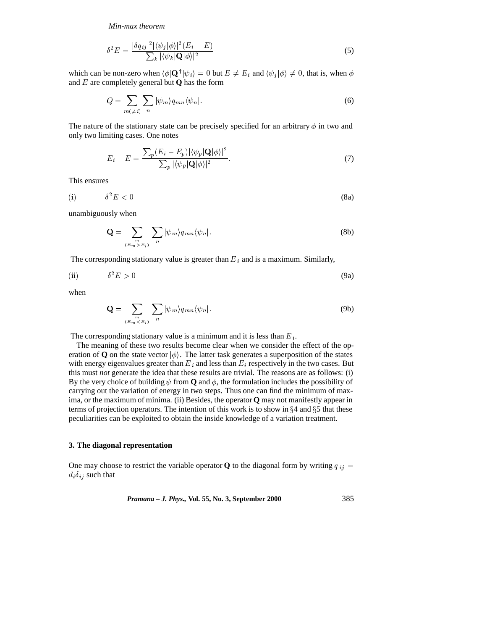*Min-max theorem*

$$
\delta^2 E = \frac{|\delta q_{ij}|^2 |\langle \psi_j | \phi \rangle|^2 (E_i - E)}{\sum_k |\langle \psi_k | \mathbf{Q} | \phi \rangle|^2} \tag{5}
$$

which can be non-zero when  $\langle \phi | \mathbf{Q}^{\dagger} | \psi_i \rangle = 0$  but  $E \neq E_i$  and  $\langle \psi_j | \phi \rangle \neq 0$ , that is, when  $\phi$ and <sup>E</sup> are completely general but **Q** has the form

$$
Q = \sum_{m(\neq i)} \sum_{n} |\psi_m\rangle q_{mn} \langle \psi_n|.
$$
 (6)

The nature of the stationary state can be precisely specified for an arbitrary  $\phi$  in two and only two limiting cases. One notes

$$
E_i - E = \frac{\sum_p (E_i - E_p) |\langle \psi_p | \mathbf{Q} | \phi \rangle|^2}{\sum_p |\langle \psi_p | \mathbf{Q} | \phi \rangle|^2}.
$$
\n(7)

This ensures

(i) 2E < <sup>0</sup> (8a)

unambiguously when

$$
\mathbf{Q} = \sum_{\substack{m \\ (E_m > E_i)}} \sum_n |\psi_m\rangle q_{mn} \langle \psi_n|.
$$
 (8b)

The corresponding stationary value is greater than  $E_i$  and is a maximum. Similarly,

(ii) 
$$
\delta^2 E > 0
$$
 (9a)

when

$$
\mathbf{Q} = \sum_{\substack{m \\ (E_m < E_i)}} \sum_n |\psi_m\rangle q_{mn} \langle \psi_n|.
$$
\n(9b)

The corresponding stationary value is a minimum and it is less than  $E_i$ .

The meaning of these two results become clear when we consider the effect of the operation of **Q** on the state vector  $|\phi\rangle$ . The latter task generates a superposition of the states with energy eigenvalues greater than  $E_i$  and less than  $E_i$  respectively in the two cases. But this must *not* generate the idea that these results are trivial. The reasons are as follows: (i) By the very choice of building  $\psi$  from **Q** and  $\phi$ , the formulation includes the possibility of carrying out the variation of energy in two steps. Thus one can find the minimum of maxima, or the maximum of minima. (ii) Besides, the operator **Q** may not manifestly appear in terms of projection operators. The intention of this work is to show in  $\S 4$  and  $\S 5$  that these peculiarities can be exploited to obtain the inside knowledge of a variation treatment.

# **3. The diagonal representation**

One may choose to restrict the variable operator **Q** to the diagonal form by writing  $q_{ij}$  =  $d_i \delta_{ij}$  such that

*Pramana – J. Phys.,* **Vol. 55, No. 3, September 2000** 385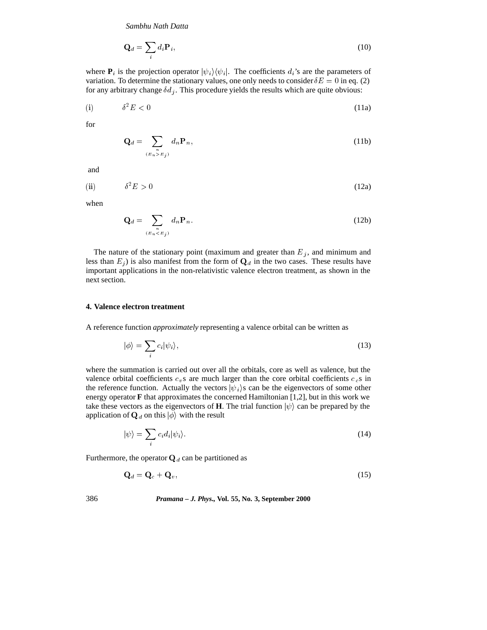$$
\mathbf{Q}_d = \sum_i d_i \mathbf{P}_i,\tag{10}
$$

where  $P_i$  is the projection operator  $|\psi_i\rangle \langle \psi_i|$ . The coefficients  $d_i$ 's are the parameters of variation. To determine the stationary values, one only needs to consider  $\delta E = 0$  in eq. (2) for any arbitrary change  $\delta d_j$ . This procedure yields the results which are quite obvious:

(i) 2E < <sup>0</sup> (11a)

for

$$
\mathbf{Q}_d = \sum_{\substack{n \\ (E_n > E_j)}} d_n \mathbf{P}_n,\tag{11b}
$$

and

(ii) 
$$
\delta^2 E > 0
$$
 (12a)

when

$$
\mathbf{Q}_d = \sum_{(E_n < E_j)} d_n \mathbf{P}_n. \tag{12b}
$$

The nature of the stationary point (maximum and greater than  $E_j$ , and minimum and less than  $E_j$ ) is also manifest from the form of  $\mathbf{Q}_d$  in the two cases. These results have important applications in the non-relativistic valence electron treatment, as shown in the next section.

# **4. Valence electron treatment**

A reference function *approximately* representing a valence orbital can be written as

$$
|\phi\rangle = \sum_{i} c_i |\psi_i\rangle,\tag{13}
$$

where the summation is carried out over all the orbitals, core as well as valence, but the valence orbital coefficients  $c_v$ s are much larger than the core orbital coefficients  $c_c$ s in the reference function. Actually the vectors  $|\psi_i\rangle$ s can be the eigenvectors of some other energy operator **F** that approximates the concerned Hamiltonian [1,2], but in this work we take these vectors as the eigenvectors of **H**. The trial function  $|\psi\rangle$  can be prepared by the application of  $\mathbf{Q}_d$  on this  $|\phi\rangle$  with the result

$$
|\psi\rangle = \sum_{i} c_i d_i |\psi_i\rangle.
$$
 (14)

Furthermore, the operator  $\mathbf{Q}_d$  can be partitioned as

$$
\mathbf{Q}_d = \mathbf{Q}_c + \mathbf{Q}_v,\tag{15}
$$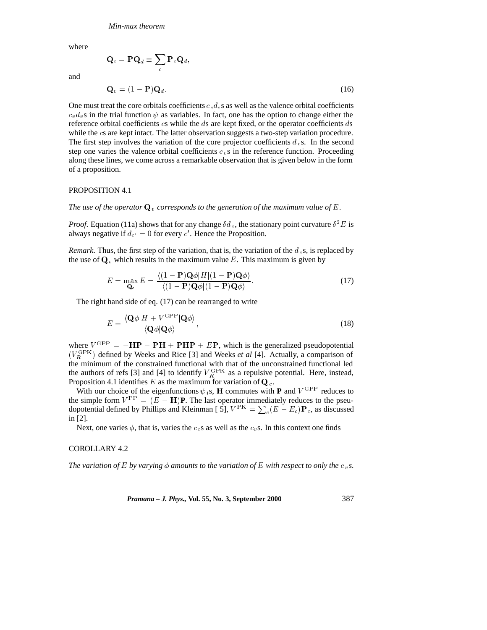where

$$
\mathbf{Q}_c = \mathbf{P} \mathbf{Q}_d \equiv \sum_c \mathbf{P}_c \mathbf{Q}_d,
$$
  

$$
\mathbf{Q}_v = (1 - \mathbf{P}) \mathbf{Q}_d.
$$
 (16)

and

One must treat the core orbitals coefficients  $c_{c}d_{c}$  s as well as the valence orbital coefficients  $c_v d_v s$  in the trial function  $\psi$  as variables. In fact, one has the option to change either the reference orbital coefficients <sup>c</sup>s while the <sup>d</sup>s are kept fixed, or the operator coefficients <sup>d</sup>s while the cs are kept intact. The latter observation suggests a two-step variation procedure. The first step involves the variation of the core projector coefficients  $d_c$ s. In the second step one varies the valence orbital coefficients  $c<sub>v</sub>$  s in the reference function. Proceeding along these lines, we come across a remarkable observation that is given below in the form of a proposition.

#### PROPOSITION 4.1

*The use of the operator*  $\mathbf{Q}_v$  *corresponds to the generation of the maximum value of* E.

*Proof.* Equation (11a) shows that for any change  $\delta d_c$ , the stationary point curvature  $\delta^2 E$  is always negative if  $d_{c'} = 0$  for every c'. Hence the Proposition.

*Remark*. Thus, the first step of the variation, that is, the variation of the  $d_c$ s, is replaced by the use of  $\mathbf{Q}_v$  which results in the maximum value E. This maximum is given by

$$
E = \max_{\mathbf{Q}_c} E = \frac{\langle (1 - \mathbf{P})\mathbf{Q}\phi | H | (1 - \mathbf{P})\mathbf{Q}\phi \rangle}{\langle (1 - \mathbf{P})\mathbf{Q}\phi | (1 - \mathbf{P})\mathbf{Q}\phi \rangle}.
$$
 (17)

The right hand side of eq. (17) can be rearranged to write

$$
E = \frac{\langle \mathbf{Q}\phi | H + V^{\text{GPP}} | \mathbf{Q}\phi \rangle}{\langle \mathbf{Q}\phi | \mathbf{Q}\phi \rangle},\tag{18}
$$

where  $V^{GPP} = -HP - PH + PHP + EP$ , which is the generalized pseudopotential  $(V_R^{\text{GPK}})$  defined by Weeks and Rice [3] and Weeks *et al* [4]. Actually, a comparison of the minimum of the constrained functional with that of the unconstrained functional led the authors of refs [3] and [4] to identify  $V_R^{\text{GPK}}$  as a repulsive potential. Here, instead, Proposition 4.1 identifies E as the maximum for variation of  $Q_c$ .

With our choice of the eigenfunctions  $\psi_i$ s, **H** commutes with **P** and  $V^{GPP}$  reduces to the simple form  $V^{\rm PP} = (E - H)P$ . The last operator immediately reduces to the pseudopotential defined by Phillips and Kleinman [ 5],  $V^{PK} = \sum_{c} (E - E_c) \mathbf{P}_c$ , as discussed in [2].

Next, one varies  $\phi$ , that is, varies the  $c_c$ s as well as the  $c_v$ s. In this context one finds

## COROLLARY 4.2

*The variation of* E by varying  $\phi$  amounts to the variation of E with respect to only the c<sub>n</sub>s.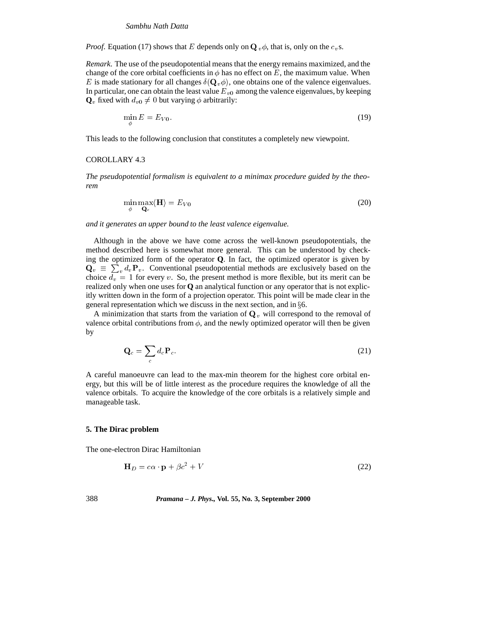*Proof.* Equation (17) shows that E depends only on  $\mathbf{Q}_v \phi$ , that is, only on the  $c_v$ s.

*Remark*. The use of the pseudopotential means that the energy remains maximized, and the change of the core orbital coefficients in  $\phi$  has no effect on E, the maximum value. When E is made stationary for all changes  $\delta(\mathbf{Q}_v\phi)$ , one obtains one of the valence eigenvalues. In particular, one can obtain the least value  $E_{v0}$  among the valence eigenvalues, by keeping  $\mathbf{Q}_v$  fixed with  $d_{v0} \neq 0$  but varying  $\phi$  arbitrarily:

$$
\min_{\phi} E = E_{V0}.\tag{19}
$$

This leads to the following conclusion that constitutes a completely new viewpoint.

#### COROLLARY 4.3

*The pseudopotential formalism is equivalent to a minimax procedure guided by the theorem*

$$
\min_{\phi} \max_{\mathbf{Q}_c} \langle \mathbf{H} \rangle = E_{V0} \tag{20}
$$

*and it generates an upper bound to the least valence eigenvalue.*

Although in the above we have come across the well-known pseudopotentials, the method described here is somewhat more general. This can be understood by checking the optimized form of the operator **Q**. In fact, the optimized operator is given by  $\mathbf{Q}_v \equiv \sum_v d_v \mathbf{P}_v$ . Conventional pseudopotential methods are exclusively based on the choice  $d_v = 1$  for every v. So, the present method is more flexible, but its merit can be realized only when one uses for **Q** an analytical function or any operator that is not explicitly written down in the form of a projection operator. This point will be made clear in the general representation which we discuss in the next section, and in  $\S6$ .

A minimization that starts from the variation of  $\mathbf{Q}_v$  will correspond to the removal of valence orbital contributions from  $\phi$ , and the newly optimized operator will then be given by

$$
\mathbf{Q}_c = \sum_c d_c \mathbf{P}_c. \tag{21}
$$

A careful manoeuvre can lead to the max-min theorem for the highest core orbital energy, but this will be of little interest as the procedure requires the knowledge of all the valence orbitals. To acquire the knowledge of the core orbitals is a relatively simple and manageable task.

#### **5. The Dirac problem**

The one-electron Dirac Hamiltonian

$$
\mathbf{H}_D = c\alpha \cdot \mathbf{p} + \beta c^2 + V \tag{22}
$$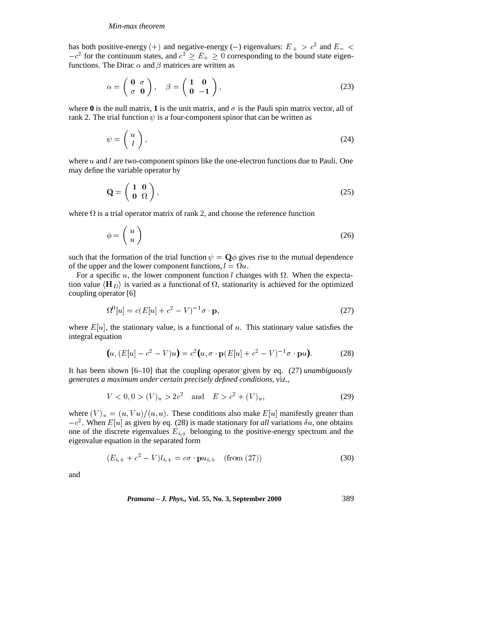#### *Min-max theorem*

has both positive-energy (+) and negative-energy (-) eigenvalues:  $E_+ > c^2$  and  $E_- <$  $-c^2$  for the continuum states, and  $c^2 \geq E_+ \geq 0$  corresponding to the bound state eigenfunctions. The Dirac  $\alpha$  and  $\beta$  matrices are written as

$$
\alpha = \begin{pmatrix} 0 & \sigma \\ \sigma & 0 \end{pmatrix}, \quad \beta = \begin{pmatrix} 1 & 0 \\ 0 & -1 \end{pmatrix}, \tag{23}
$$

where  $\bf{0}$  is the null matrix, **1** is the unit matrix, and  $\sigma$  is the Pauli spin matrix vector, all of rank 2. The trial function  $\psi$  is a four-component spinor that can be written as

$$
\psi = \left(\begin{array}{c} u \\ l \end{array}\right),\tag{24}
$$

where  $u$  and  $l$  are two-component spinors like the one-electron functions due to Pauli. One may define the variable operator by

$$
\mathbf{Q} = \left(\begin{array}{cc} 1 & 0 \\ 0 & \Omega \end{array}\right),\tag{25}
$$

where  $\Omega$  is a trial operator matrix of rank 2, and choose the reference function

$$
\phi = \left(\begin{array}{c} u \\ u \end{array}\right) \tag{26}
$$

such that the formation of the trial function  $\psi = \mathbf{Q} \phi$  gives rise to the mutual dependence of the upper and the lower component functions,  $l = \Omega u$ .

For a specific u, the lower component function l changes with  $\Omega$ . When the expectation value  $\langle H_D \rangle$  is varied as a functional of  $\Omega$ , stationarity is achieved for the optimized coupling operator [6]

$$
\Omega^0[u] = c(E[u] + c^2 - V)^{-1}\sigma \cdot \mathbf{p},\tag{27}
$$

where  $E[u]$ , the stationary value, is a functional of u. This stationary value satisfies the integral equation

$$
(u, (E[u] - c2 - V)u) = c2(u, \sigma \cdot \mathbf{p}(E[u] + c2 - V)-1 \sigma \cdot \mathbf{p}u).
$$
 (28)

It has been shown [6–10] that the coupling operator given by eq. (27) *unambiguously generates a maximum under certain precisely defined conditions*, viz.,

$$
V < 0, 0 > (V)_u > 2c^2 \quad \text{and} \quad E > c^2 + (V)_u,\tag{29}
$$

where  $(V)_u = (u, Vu)/(u, u)$ . These conditions also make  $E[u]$  manifestly greater than  $-c<sup>2</sup>$ . When  $E[u]$  as given by eq. (28) is made stationary for *all* variations  $\delta u$ , one obtains one of the discrete eigenvalues  $E_{i,+}$  belonging to the positive-energy spectrum and the eigenvalue equation in the separated form

$$
(E_{i,+} + c^2 - V)l_{i,+} = c\sigma \cdot \mathbf{p}u_{i,+} \quad \text{(from (27))} \tag{30}
$$

and

*Pramana – J. Phys.,* **Vol. 55, No. 3, September 2000** 389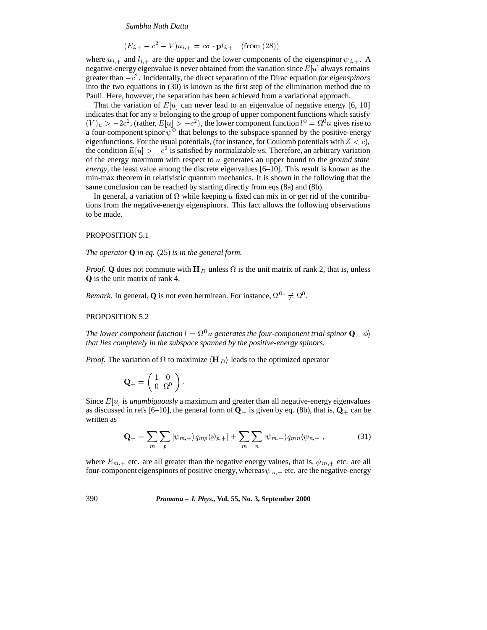$(E_{i,+} - c^{-} - V)u_{i,+} = c\sigma \cdot \mathbf{p}$  $(i,+$  (from (28))

where  $u_{i,+}$  and  $l_{i,+}$  are the upper and the lower components of the eigenspinor  $\psi_{i,+}$ . A negative-energy eigenvalue is never obtained from the variation since  $E[u]$  always remains greater than  $-c^2$ . Incidentally, the direct separation of the Dirac equation *for eigenspinors* into the two equations in (30) is known as the first step of the elimination method due to Pauli. Here, however, the separation has been achieved from a variational approach.

That the variation of  $E[u]$  can never lead to an eigenvalue of negative energy [6, 10] indicates that for any  $u$  belonging to the group of upper component functions which satisfy  $(V)_u > -2c^2$ , (rather,  $E[u] > -c^2$ ), the lower component function  $l^0 = \Omega^0 u$  gives rise to a four-component spinor  $\psi^0$  that belongs to the subspace spanned by the positive-energy eigenfunctions. For the usual potentials, (for instance, for Coulomb potentials with  $Z < c$ ), the condition  $E[u] > -c^2$  is satisfied by normalizable us. Therefore, an arbitrary variation of the energy maximum with respect to <sup>u</sup> generates an upper bound to the *ground state energy*, the least value among the discrete eigenvalues [6–10]. This result is known as the min-max theorem in relativistic quantum mechanics. It is shown in the following that the same conclusion can be reached by starting directly from eqs (8a) and (8b).

In general, a variation of  $\Omega$  while keeping u fixed can mix in or get rid of the contributions from the negative-energy eigenspinors. This fact allows the following observations to be made.

## PROPOSITION 5.1

*The operator* **Q** *in eq.* (25) *is in the general form.*

*Proof.* **Q** does not commute with H<sub>D</sub> unless  $\Omega$  is the unit matrix of rank 2, that is, unless **Q** is the unit matrix of rank 4.

*Remark*. In general, **Q** is not even hermitean. For instance,  $\Omega^{0\dagger} \neq \Omega^0$ .

#### PROPOSITION 5.2

*The lower component function*  $l = \Omega^0 u$  generates the four-component trial spinor  $\mathbf{Q}_{+}|\phi\rangle$ *that lies completely in the subspace spanned by the positive-energy spinors.*

*Proof.* The variation of  $\Omega$  to maximize  $\langle H_D \rangle$  leads to the optimized operator

$$
\mathbf{Q}_{+} = \left( \begin{array}{cc} 1 & 0 \\ 0 & \Omega^{0} \end{array} \right).
$$

Since  $E[u]$  is *unambiguously* a maximum and greater than all negative-energy eigenvalues as discussed in refs [6–10], the general form of  $Q_+$  is given by eq. (8b), that is,  $Q_+$  can be written as

$$
\mathbf{Q}_{+} = \sum_{m} \sum_{p} |\psi_{m,+}\rangle q_{mp} \langle \psi_{p,+}| + \sum_{m} \sum_{n} |\psi_{m,+}\rangle q_{mn} \langle \psi_{n,-}|,
$$
 (31)

where  $E_{m,+}$  etc. are all greater than the negative energy values, that is,  $\psi_{m,+}$  etc. are all four-component eigenspinors of positive energy, whereas  $\psi_{n}$  = etc. are the negative-energy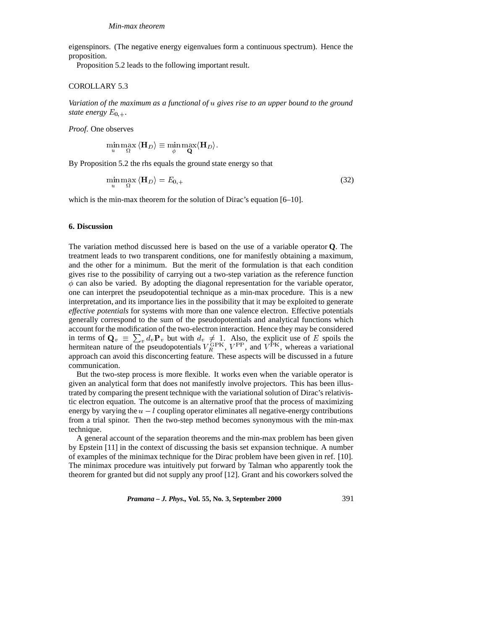eigenspinors. (The negative energy eigenvalues form a continuous spectrum). Hence the proposition.

Proposition 5.2 leads to the following important result.

# COROLLARY 5.3

*Variation of the maximum as a functional of* <sup>u</sup> *gives rise to an upper bound to the ground state energy*  $E_{0,+}$ .

*Proof*. One observes

$$
\min_{u} \max_{\Omega} \langle \mathbf{H}_{D} \rangle \equiv \min_{\phi} \max_{\mathbf{Q}} \langle \mathbf{H}_{D} \rangle.
$$

By Proposition 5.2 the rhs equals the ground state energy so that

$$
\min_{u} \max_{\Omega} \langle \mathbf{H}_D \rangle = E_{0,+} \tag{32}
$$

which is the min-max theorem for the solution of Dirac's equation [6–10].

## **6. Discussion**

The variation method discussed here is based on the use of a variable operator **Q**. The treatment leads to two transparent conditions, one for manifestly obtaining a maximum, and the other for a minimum. But the merit of the formulation is that each condition gives rise to the possibility of carrying out a two-step variation as the reference function  $\phi$  can also be varied. By adopting the diagonal representation for the variable operator, one can interpret the pseudopotential technique as a min-max procedure. This is a new interpretation, and its importance lies in the possibility that it may be exploited to generate *effective potentials* for systems with more than one valence electron. Effective potentials generally correspond to the sum of the pseudopotentials and analytical functions which account for the modification of the two-electron interaction. Hence they may be considered in terms of  $\mathbf{Q}_v \equiv \sum_v d_v \mathbf{P}_v$  but with  $d_v \neq 1$ . Also, the explicit use of E spoils the hermitean nature of the pseudopotentials  $V_R^{\text{GPK}}$ ,  $V^{\text{PP}}$ , and  $V^{\text{PK}}$ , whereas a variational approach can avoid this disconcerting feature. These aspects will be discussed in a future communication.

But the two-step process is more flexible. It works even when the variable operator is given an analytical form that does not manifestly involve projectors. This has been illustrated by comparing the present technique with the variational solution of Dirac's relativistic electron equation. The outcome is an alternative proof that the process of maximizing energy by varying the  $u - l$  coupling operator eliminates all negative-energy contributions from a trial spinor. Then the two-step method becomes synonymous with the min-max technique.

A general account of the separation theorems and the min-max problem has been given by Epstein [11] in the context of discussing the basis set expansion technique. A number of examples of the minimax technique for the Dirac problem have been given in ref. [10]. The minimax procedure was intuitively put forward by Talman who apparently took the theorem for granted but did not supply any proof [12]. Grant and his coworkers solved the